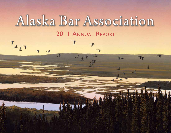# Alaska Bar Association 2011 ANNUAL REPORT

 $T_{4,17}$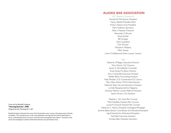## **ALASKA BAR ASSOCIATION**

2011 Board of Governors

Donald W. McClintock, President Hanna Sebold, President-Elect Krista S. Stearns, Vice President Mark Andrews, Secretary Peter J. Maassen, Treasurer Alexander O. Bryner David Eichler Bill Granger Gene Gustafson Don McLean Michael A. Moberly Mitch Seaver Loren P. Hildebrandt (New Lawyer Liaison)

#### **Staff**

Deborah O'Regan, Executive Director Mary Patrick, CLE Director Karen A. Schmidlkofer, Controller Krista Scully, Pro Bono Director Amy Curkendall, Executive Assistant Shelley Block, Accounting Assistant Holly Rhoden, CLE Coordinator/CLE Library Mary Ellen Ashton, MCLE Administrator Deborah Elsey-Gervel, Admissions Assistant Liz Kell, Receptionist/CLE Registrar Charissa Feltman, Lawyer Referral Assistant Sarah Horton, CLE Assistant

Stephen J. Van Goor, Bar Counsel Mark Woelber, Assistant Bar Counsel Louise R. Driscoll, Assistant Bar Counsel Deborah C. Nance, Discipline Investigator/Paralegal JoAnne Baker, Section Coordinator & Arbitration/Discipline Ingrid Varenbrink, Arbitration/Discipline Gail Welt, Executive Assistant Annette Blair, Discipline Secretary

Cover art by Randall Compton "Morning Sunrise", 1998 Original Acrylic Painting 24" x 30"

Randall Compton witnesses this scene of the Tanana River year-round, in all seasons and in all kinds of weather. This viewing was on a cold, crisp September morning with the smell of dead leaves in the air, while Randall was on his way to a favorite duck hunting field with a falcon. The ducks in this scene were heading for Creamers Field where falconers are permitted to hunt.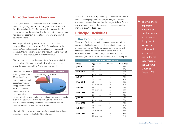# **Introduction & Overview**

In 2011, the Alaska Bar Association had 4,081 members in the following categories: 3,059 Active (2,485 In-state and 574 Outside), 800 Inactive, 221 Retired, and 1 Honorary. Its affairs are governed by a 12-member Board of nine attorneys and three non-attorney citizens. A (non-voting) New Lawyer Liaison also advises the Board.

Written guidelines for governance are contained in the Integrated Bar Act, the Alaska Bar Rules (promulgated by the Supreme Court of Alaska), the Alaska Rules of Professional Conduct, the Association's Bylaws and Regulations, the Board of Governors' Policy Manual, and a Personnel Manual.

The two most important functions of the Bar are the admission and discipline of its members, both of which are carried out under the supervision of the Alaska Supreme Court.

There are presently 10 standing committees, 27 sections, 5 bar rule committees, and special committees as appointed by the Board. In addition, the Bar Association participates in a



number of adjunct organizations and administers special projects, such as the Statewide Lawyer Referral Service. More than half of the membership participates, voluntarily and without remuneration, in the affairs of the association.

The staff of the Alaska Bar has grown from a part-time, volunteer executive secretary in 1968, to 20 employees.

The association is primarily funded by its membership's annual dues, continuing legal education program registration fees, admissions, the annual convention, the Lawyer Referral Service, and investment income. The association received no public monies in the 2011 fiscal year.

# **Principal Activities**

## **• Bar Examination**

The Alaska Bar Examination is conducted twice annually in Anchorage, Fairbanks and Juneau. It consists of: 1) one day of essay questions on Alaska law prepared by a permanent committee of the Association known as the Alaska Law Examiners; 2) two half-days of objective, multiple choice questions (the Multistate Bar Examination or "MBE"), prepared

|                  | 2007 - 2011 Bar Exam Results |               |                  |  |  |  |  |  |
|------------------|------------------------------|---------------|------------------|--|--|--|--|--|
| Date             | <b>Applicants</b>            | <b>Passed</b> | <b>Pass Rate</b> |  |  |  |  |  |
| <b>July 2011</b> | 60                           | 32            | 53%              |  |  |  |  |  |
|                  | 50 Ist timers                | 31            | 62%              |  |  |  |  |  |
| Feb. 2011        | 58                           | 38            | 66%              |  |  |  |  |  |
|                  | 39 Ist timers                | 32            | 82%              |  |  |  |  |  |
| <b>July 2010</b> | 85                           | 63            | 74%              |  |  |  |  |  |
|                  | 72 Ist timers                | 58            | 81%              |  |  |  |  |  |
| Feb. 2010        | 53                           | 35            | 66%              |  |  |  |  |  |
|                  | 36 Ist timers                | 29            | 81%              |  |  |  |  |  |
| <b>July 2009</b> | 63                           | 40            | 63%              |  |  |  |  |  |
|                  | 44 Ist timers                | 35            | 80%              |  |  |  |  |  |
| Feb. 2009        | 50                           | 26            | 52%              |  |  |  |  |  |
|                  | 35 1st timers                | 22            | 63%              |  |  |  |  |  |
| <b>July 2008</b> | 59                           | 40            | 68%              |  |  |  |  |  |
|                  | 51 Ist timers                | 39            | 76%              |  |  |  |  |  |
| Feb. 2008        | 37                           | 27            | 73%              |  |  |  |  |  |
|                  | 20 Ist timers                | 8             | 90%              |  |  |  |  |  |
| <b>July 2007</b> | 75                           | 52            | 69%              |  |  |  |  |  |
|                  | 54 Ist timers                | 47            | 87%              |  |  |  |  |  |
| Feb. 2007        | 54                           | 26            | 48%              |  |  |  |  |  |
|                  | 24 1st timers                | 17            | 71%              |  |  |  |  |  |

**66** The two most important functions of the Bar are the admission and discipline of its members, both of which are carried out under the supervision of the Supreme Court of Alaska. <sup>99</sup>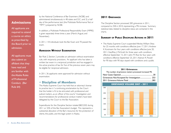# **Admissions**

All applicants are required to attend a course on ethics as prescribed by the Board prior to admission.

All applicants must also submit an affidavit that they have read and are familiar with the Alaska Rules of Professional Conduct. (Bar Rule 64)

by the National Conference of Bar Examiners (NCBE) and administered simultaneously in 48 states and D.C.; and 3) a half day of the performance test (the Multistate Performance Test or "MPT") prepared by NCBE.

In addition, a Multistate Professional Responsibility Exam (MPRE) is given separately three times a year (March, August, and November).

In 2011, 118 individuals took the Bar Exam and 70 passed the exam.

## **Admission Without Examination**

Bar Rule 2, Section 2 provides an admission without examination rule, with reciprocity provisions. An applicant who has taken a written bar exam in a reciprocal jurisdiction and has engaged in the active practice of law for five of the previous seven years may be eligible for reciprocal admission.

In 2011, 36 applicants were approved for admission without examination.

## **• Discipline of Members**

The Alaska Supreme Court has held that an attorney's license to practice law is "a continuing proclamation by the Court that the holder is fit to be entrusted with professional and judicial matters...as an officer of the courts." Investigation and recommendations for professional conduct matters have been delegated by the Court to the Bar Association.

Expenditures for the Discipline Section totaled \$823,502 during 2011 or 32% of the Bar Association's budget. This represents a substantial allocation of the Bar's resources for the protection of clients, the public, and the legal system in Alaska.

## **2011 Grievances**

The Discipline Section processed 283 grievances in 2011, compared to 258 in 2010, representing a 9% increase. Summary statistical data related to discipline status are contained in the charts.

## **Summary of Public Discipline Actions in 2011**

• The Alaska Supreme Court suspended Wevley William Shea for 25 months with conditions effective June 17, 2011; Andrew K. Kurzmann for four years with conditions effective June 20, 2011; Geoffrey J. McGrath for three years with conditions effective September 15, 2011; John M. Rice for four years with conditions effective September 25, 2011; Keenan R. Powell for 90 days with 90 days stayed with conditions and a public

#### **2011 Grievances**

| The number of grievance matters processed increased 9% |
|--------------------------------------------------------|
|                                                        |
|                                                        |
|                                                        |

#### **GRIEVANCE VOLUME 2007 - 2011**

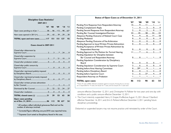| Discipline Case Statistics'<br>2007-2011                                                                                                    |  |  |  |  |  |  |  |  |  |
|---------------------------------------------------------------------------------------------------------------------------------------------|--|--|--|--|--|--|--|--|--|
| $'07$ $'08$<br>$^{\circ}09$<br>'10'11                                                                                                       |  |  |  |  |  |  |  |  |  |
| Open cases pending as of Jan. 1 58  86  112  98  62*                                                                                        |  |  |  |  |  |  |  |  |  |
| New cases opened in 2011(+)59 65 392930                                                                                                     |  |  |  |  |  |  |  |  |  |
| TOTAL open and new cases 117 151 151 127<br>92                                                                                              |  |  |  |  |  |  |  |  |  |
| Cases closed in 2007-2011                                                                                                                   |  |  |  |  |  |  |  |  |  |
| Closed after disbarment by                                                                                                                  |  |  |  |  |  |  |  |  |  |
| Closed after suspension by                                                                                                                  |  |  |  |  |  |  |  |  |  |
|                                                                                                                                             |  |  |  |  |  |  |  |  |  |
|                                                                                                                                             |  |  |  |  |  |  |  |  |  |
| Closed after reprimand publicly imposed                                                                                                     |  |  |  |  |  |  |  |  |  |
| Closed after reprimand privately imposed                                                                                                    |  |  |  |  |  |  |  |  |  |
| Closed after written private admonition                                                                                                     |  |  |  |  |  |  |  |  |  |
| Dismissed by Bar Counsel21  22  22 24  27                                                                                                   |  |  |  |  |  |  |  |  |  |
|                                                                                                                                             |  |  |  |  |  |  |  |  |  |
| TOTAL closed cases (-) 31 39 53 63<br>38                                                                                                    |  |  |  |  |  |  |  |  |  |
| Open cases pending<br>54<br>the contract of the contract of the contract of the contract of the contract of the contract of the contract of |  |  |  |  |  |  |  |  |  |

#### **Status of Open Cases as of December 31, 2011**

|                                                      | '07 | $^{\circ}08$ | $^{\circ}09$ | $'10'$ $'11$ |    |
|------------------------------------------------------|-----|--------------|--------------|--------------|----|
| Pending First Response from Respondent Attorney      |     |              |              |              |    |
| Pending Complainant's Reply                          |     |              |              |              |    |
| Pending Second Response from Respondent Attorney     |     |              |              |              |    |
| Pending Bar Counsel Investigation/Decision           |     | 3345283423   |              |              |    |
| Abeyance Pending Outcome of Related Court Case       |     | 9 9 8 17 18  |              |              |    |
| Pending Mediation                                    |     |              |              |              |    |
| Abeyance Pending Outcome of Fee Arbitration          |     |              |              |              |    |
| Pending Approval to Issue Written Private Admonition |     |              |              |              |    |
| Pending Acceptance of Written Private Admonition by  |     |              |              |              |    |
| <b>Respondent Attorney</b>                           |     |              |              |              |    |
| Pending Approval to File Petition for Formal Hearing |     |              |              |              |    |
| Pending Stipulation for Discipline between           |     |              |              |              |    |
| Bar Counsel and Respondent Attorney                  |     |              |              |              |    |
| Pending Stipulation Consideration by Disciplinary    |     |              |              |              |    |
| Board                                                |     |              |              |              |    |
| Pending Stipulation Consideration by Supreme Court   |     |              |              |              |    |
| Pending before Area Hearing Committee                |     |              |              |              |    |
| Pending before Disciplinary Board                    |     |              |              |              |    |
| Pending before Supreme Court                         |     |              |              |              |    |
| Respondent Attorney on Probation                     |     |              |              |              |    |
| <b>TOTAL open cases</b>                              | 86  | 112          | 98           | 63           | 54 |

\*These 29 cases (2008) reflected complaints against six lawyers. Among the six, one lawyer is responsible for 14 cases, one lawyer for 7 cases, and two lawyers for 3 cases each.

censure effective December 12, 2011; and, Christopher N. Pallister for two years and one day with conditions and a public censure effective December 12, 2011.

• The Court interimly suspended Henry E. Graper, III effective August 15, 2011; Bruce F. Stanford effective November 16, 2011; and, Erin A. Pohland effective December 2, 2011 pending future disciplinary proceedings.

Disbarred or suspended lawyers may not resume practice until reinstated by order of the Court.

<sup>1</sup> All numbers reflect individual grievances filed and not the number of attorneys involved.

\* Corrected figure reflecting one pre-2010 case reported twice.

\*\*Supreme Court acted as Disciplinary Board in this case.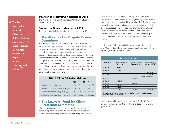# **66 The Bar** Association, under the Alaska Bar Rules, maintains an Attorney Fee Dispute Review **Committee** to hear fee disputes between

attorneys and clients. <sup>99</sup>

#### **Summary of Reinstatement Actions in 2011**

The Alaska Supreme Court reinstated Mark Nunn effective October 31, 2011.

## **Summary of Disability Actions in 2011**

There were no disability transfers or reinstatements in 2011.

## **• The Attorney Fee Dispute Review Committee**

The Bar Association, under the Alaska Bar Rules, maintains an Attorney Fee Dispute Review Committee to hear fee disputes between attorneys and clients where such disputes have not been determined by statute, court rule, or decision. Five subcommittees residing in Ketchikan, Juneau, Anchorage, Kenai and Fairbanks comprise the Committee. Each subcommittee consists of a "pool" of attorney and non-attorney members who serve for three years on a volunteer basis. From these subcommittees, a panel of two attorneys and one non-attorney is convened to hear a fee dispute. If the amount in dispute is \$5,000 or less, a single panel member hears the matter.

#### **2007 - 2011 Fee Arbitration Statistics**

|                                        | $'07$ $'08$ $'09$ $'10$ $'11$ |  |
|----------------------------------------|-------------------------------|--|
| Arbitrations pending January 1         | 26  34  33  25  22            |  |
| Arbitrations opened during year $(+)$  | $58$ 70  62  46  55           |  |
| Arbitrations closed during year (-)    | 51 71 70 49 50                |  |
| Arbitrations pending Dec. 3 I year-end | 33 33  25  22  27             |  |

## **• The Lawyers' Fund for Client Protection Committee**

The Bar Association maintains a fund for the purpose of reimbursing attorneys' clients or others who have suffered noninsured losses of money, property, or other things of value, as a

result of dishonest conduct by attorneys. Dishonest conduct is defined as acts of embezzlement, wrongful taking, or conversion of money, property, or other things of value. The fund also pays the cost of trustee counsel appointed by the superior court to close the practice of a deceased sole practitioner or a lawyer who has abandoned his or her practice. The monies of the fund come from yearly assessments on active members (paid concurrently with membership dues), as well as investment income.

At the close of 2011, one (1) claim was pending before the LFCP Committee. The Committee and the Board took action on nine (9) claims during the year.

| <b>2011 LFCP Actions</b> |                                    |                                       |                                                   |  |  |  |  |  |
|--------------------------|------------------------------------|---------------------------------------|---------------------------------------------------|--|--|--|--|--|
| Case Number              | Reimbursement(s)*<br>Paid by Board | Reimbursement(s)<br>Rejected by Board | Reimbursement(s)<br>Rejected by LFCP<br>Committee |  |  |  |  |  |
| 2010L008                 | \$2,500                            |                                       |                                                   |  |  |  |  |  |
| 2010L011                 | \$750                              |                                       |                                                   |  |  |  |  |  |
| 2010L013                 |                                    |                                       | \$100,000                                         |  |  |  |  |  |
| 2010L005                 |                                    |                                       | \$80,000                                          |  |  |  |  |  |
|                          |                                    |                                       | (claim withdrawn)                                 |  |  |  |  |  |
| 2010L012                 |                                    | \$4,232.55                            |                                                   |  |  |  |  |  |
| 2011L001                 | \$5566.67                          |                                       |                                                   |  |  |  |  |  |
| 2010L010                 |                                    | \$7,500                               |                                                   |  |  |  |  |  |
| 2011L002                 | \$1,650                            |                                       |                                                   |  |  |  |  |  |
| 2011L003                 | \$1,650                            |                                       |                                                   |  |  |  |  |  |
| TOTAL                    | \$12,116.67                        | \$11.732.55                           | \$100,000                                         |  |  |  |  |  |

\*These figures reflect reimbursements from the Fund which may be less than the amount requested by the claimant.

Trustee counsel fees and expenses totaling \$7,318.89 for inventorying and closing the practice of a disabled lawyer were paid in 2011.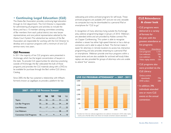## **• Continuing Legal Education (CLE)**

The Alaska Bar Association provides continuing legal education through its CLE department. The CLE Director is responsible for administering all programs and activities, to include the library, and has a 15-member advising committee consisting of Bar members from each judicial district, two new lawyer representatives, and one judicial representative selected by the Alaska Court System. The substantive law sections of the Bar Association are responsible for working with the CLE Director to develop and co-sponsor programs with a minimum of one CLE seminar every two years.

## **CLE Programs**

In 2011 the majority of live CLE programs were presented in Anchorage, which has the largest concentration of lawyers in the state. To provide CLE opportunities for attorneys practicing outside of Anchorage, the Bar webcasted the bulk of those programs, and provides the CLE materials along with a DVD, to be available for purchase through the Bar's online CLE Library Catalog.

Since 2005, the Bar has sustained a relationship with InReach, formerly known as LegalSpan, to provide a platform for live

| 2007 - 2011 CLE PROGRAMS SUMMARY |               |  |  |                          |  |  |  |  |
|----------------------------------|---------------|--|--|--------------------------|--|--|--|--|
|                                  | $^{\circ}$ 07 |  |  | $'08$ $'09$ $'10$ $'11$  |  |  |  |  |
| <b>Topics</b>                    |               |  |  |                          |  |  |  |  |
| Live Bar Programs                |               |  |  | 33 26  25 34 30          |  |  |  |  |
| Live Webcasts                    |               |  |  | $10$ $17$ $16$ 1722      |  |  |  |  |
| Live Webinars                    |               |  |  | —………— ………——……… 28………… 19 |  |  |  |  |
|                                  |               |  |  |                          |  |  |  |  |

webcasting and online archived programs for self-study. These archived programs are available 24/7 and are not only viewable via computer, but may be downloaded to a personal iPad or smartphone for "CLE to go."

2005 2,023 2005 2006 2007 2008 easier for attorneys in remote locations to access live, interactive 2007 2,220 programming, and also provides streaming to a personal iPad arcmartabona *Wabinare provide ane hour p* or smartphone. Webinars provide one-hour programs within a topical series and are also available for archived self-study. Video replays are also provided for groups of attorneys who are unable 2009 2,068  $20$  alterial five sessions. In recognition of many attorneys living outside the Anchorage area, webinar programming began in January of 2010. Webinars are attended online and are provided by Adobe connect Pro via Copper Conferencing. This system is able to recognize whether a viewer has either high-speed Internet or has a dial-up connection, and is able to adjust its feed. This format makes it to attend "live" sessions.



# **CLE Attendance: A closer look**

• CLE programs were delivered in a variety of formats for the year, with the greatest attendance at live programs:

| Format              | <b>Attendance</b> |
|---------------------|-------------------|
| Live programs       | 1.121             |
| Live webcasts       | 236               |
| Live webinars       | 95                |
| Video replay events | 124               |

• CLE programs also were provided via the CLE Library:

| Online archive    |     |
|-------------------|-----|
| downloads         | 776 |
| <b>DVD</b> orders | 248 |

• In addition, 396 individuals attended one or more CLE events at the annual convention.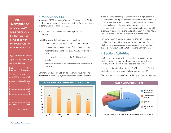# **MCLE Compliance**

A total of 2,909 active members of the Bar reported compliance with the MCLE Rule for calendar year 2011.

Legal education hours reported by attorneys were as follows:\*

| <b>CLE</b>     | $#$ of           |
|----------------|------------------|
| <b>Credits</b> | <b>Attorneys</b> |

Required 3 hours of ethics CLE only ............ 486



## **• Mandatory CLE**

2006 Anchorage 5566 Anchorage 5566

In January of 2008, the Alaska Supreme Court amended Alaska Bar Rule 65, to require Active members of the Bar to participate in continuing legal education (CLE).

In 2011, over 99% of Active members reported MCLE compliance.

**2006 Rule 65 provides that each year, Active members:** 

- $200$   $\alpha$   $\alpha$   $\beta$   $\beta$   $\beta$ • are required to earn a minimum of 3 CLE ethics credits
	- are encouraged to earn at least 9 additional CLE credits
- 2007 Fairbanks 528 ethics ethics • report that they completed the 3 mandatory credits in
- $\bullet$  report whether they earned the 9 additional voluntary credits
- $\mathbb{C}$   $\mathbb{C}$   $\mathbb{C}$   $\mathbb{C}$   $\mathbb{C}$   $\mathbb{C}$   $\mathbb{C}$   $\mathbb{C}$   $\mathbb{C}$   $\mathbb{C}$   $\mathbb{C}$   $\mathbb{C}$   $\mathbb{C}$   $\mathbb{C}$   $\mathbb{C}$   $\mathbb{C}$   $\mathbb{C}$   $\mathbb{C}$   $\mathbb{C}$   $\mathbb{C}$   $\mathbb{C}$   $\mathbb{C}$   $\mathbb{C}$   $\mathbb{C}$   $\mathbb{$ • report an estimate of how many credits were earned if less than 9

2007 Fairbanks 5287 Fairbanks 5287 Fairbanks 5287 **2008 Bar members can earn CLE credits in various ways, including: 2009 Iuneau 30 attendance at live CLE programs sponsored by the Alaska Bar** 2010 Anchorage 602 September 602 September 602 September 602 September 602 September 602 September 602 Septemb



Association and other legal organizations, watching webcasts of CLE programs, viewing downloaded programs from the Bar CLE library, attendance at section meetings which offer substantive educational presentations, attendance at Bar convention programs, teaching CLE programs, attendance at accredited CLE programs in other jurisdictions, and participation in certain Alaska Bar Association and Alaska Supreme Court committees.

Of the 30 live CLE programs offered in 2011, 18 included ethics credits. One 3-hour ethics program was offered free of charge. That program was produced live in Anchorage and was also available by webcast and DVD at no cost to Bar members.

## **• Section Activities**

In 2011 there were 27 active substantive law sections, with a total individual membership of 2,590 for all sections. The total, including members with multiple sections, was 3,449.

Section meeting attendance totaled 2, 574 for the year. Of this total, attendance via telephone/teleconference was 787.

Recommended 9 additional hours 1,966 Bar The third biennial Section Chair Workshop was held in the spring Minimum Requirement 486



#### **6 Alaska Bar Association**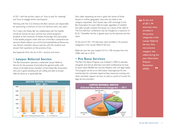of 2011 with the primary topics on "how to plan for meetings" and "how to engage section participants.".

Working with the CLE Director, the Bar's sections are responsible for sponsoring a minimum of one CLE Seminar every two years.

answer their questions on the practice of law. For 9 years, the Alaska Bar has collaborated with the Seattle University School of Law's summer law school programs. Students at the University of Alaska Anchorage who participate in the Seattle program meet with two of the Bar's substantive law sections: Alaska Native Law and Environmental/Natural Resources Law. Section members discuss case law with the students and

 $\mathcal{S}$   $\mathcal{S}$   $\mathcal{S}$   $\mathcal{S}$   $\mathcal{S}$   $\mathcal{S}$   $\mathcal{S}$   $\mathcal{S}$   $\mathcal{S}$   $\mathcal{S}$   $\mathcal{S}$   $\mathcal{S}$   $\mathcal{S}$   $\mathcal{S}$   $\mathcal{S}$   $\mathcal{S}$   $\mathcal{S}$   $\mathcal{S}$   $\mathcal{S}$   $\mathcal{S}$   $\mathcal{S}$   $\mathcal{S}$   $\mathcal{S}$   $\mathcal{S}$   $\mathcal{$ See Appendix B for the list of 2011 sections and chairs.

## **• Lawyer Referral Service**

The Bar Association operates a statewide Lawyer Referral Service for the purpose of providing the general public with names of enrolled active members of the Alaska Bar Association who are in good standing and are willing and able to accept referral clients at a reasonable fee.



Each caller requesting services is given the names of three lawyers in his/her geographic area who are listed in the category requested. Each lawyer pays a \$4 surcharge to the Bar Association for each referral made, regardless of whether the caller actually contacts the lawyer as a result of the referral. The first half-hour conference may be charged at a maximum of \$125. Thereafter the fee is agreed upon by the attorney and the client.

At the end of 2011, 94 attorneys were enrolled in 34 practice categories in the Lawyer Referral Service. .

Referrals over the year totaled 3,414, a 10% increase from the 3,086 referrals in 2010.

## **• Pro Bono Services**

to assist nearly 80,000 low-income Alaskans with civil legal needs. The program cerves as an information cleari The program serves as an information clearinghouse for the membership for volunteer opportunities, resources, training, and Labor Relations 418 355 392 340 other volunteer support services, as well as a point of contact for legal service providers. Real Estate 174 192 229 166 The Bar's Pro Bono Program was initiated in 2004 to educate, recognize and recruit attorneys and other professional services



**66** At the end of 2011, 94 of 2011, 94 attorneys were enrolled in 34 practice categories in the Lawyer Referral Service. One new practice category was added during the year: Alternative **Dispute Resolution** (ADR). **"**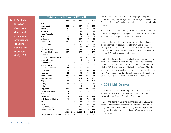|                    | Total Lawyer Referrals 2007 - 2011       |                                |                |                 |                    |                 |
|--------------------|------------------------------------------|--------------------------------|----------------|-----------------|--------------------|-----------------|
| 66 In 2011, the    |                                          | '07                            | $^{\circ}08$   | 09              | 10                 | 11              |
| Board of           | <b>ADR</b>                               |                                |                |                 | 0                  | 0               |
|                    | Administrative                           | 219                            | 246            | 197             | 148                | 199             |
| <b>Governors</b>   | Admiralty                                | 12                             | П              | 4               | 22.                | $\overline{13}$ |
| distributed        | Adoption                                 | 35                             | 22             | 17              | 3                  | 29              |
|                    | Alaska Native Law                        |                                | 0              | 15              | 20                 | 15              |
| grants to five     | Arts                                     | 3                              | $\overline{7}$ | T               | 0                  | T               |
| organizations      | Bankruptcy                               | 79                             | 93             | 127             | 97                 | 93              |
|                    | Commercial                               | 149                            | 123            | 107             | 77                 | 116             |
| delivering         | Construction                             | 63                             | 28             | 25              | 20                 | 34              |
| <b>Law Related</b> | Consumer                                 | 275                            | 275            | 266             | 203                | 232             |
| <b>Education</b>   | Criminal: Felony                         | 166                            | 95             | 81              | 114                | 106             |
|                    | Criminal: Misdemeanor                    | 170                            | 133            | 107             | 94                 | 106             |
| 99<br>$(LRE)$ .    | <b>Discrimination</b>                    |                                |                |                 | 0                  | $\mathcal{L}$   |
|                    | Divorce/Dissolution/Custody              | 809                            | 703            | 574             | 572                | 522             |
|                    | <b>Eminent Domain</b>                    |                                | 7              | L               | $\overline{2}$     | 0               |
|                    | Environmental                            |                                | 0<br>3         | 0               | 0                  | 0               |
|                    | Foreign Language<br>Guardian/Conservator | $\overline{2}$<br>$\mathbf{H}$ | 39             | 0<br>30         | $\mathbf{2}$<br>30 | 0<br>56         |
|                    |                                          | 52                             | 33             | 35              | 40                 | 22              |
|                    | Immigration<br>Insurance                 | 61                             | 38             | 41              | 34                 | 36              |
|                    | Labor Relations                          | 392                            | 340            | 367             | 386                | 418             |
|                    | Landlord/Tenant                          | 30                             | 150            | 159             | 161                | 207             |
|                    | Malpractice                              | 244                            | 172            | 185             | 198                | 9               |
|                    | Military                                 | $\overline{\phantom{0}}$       | 0              | 8               | 15                 | 16              |
|                    | Mining                                   |                                | 0              | T               | 0                  | 0               |
|                    | Negligence                               | 556                            | 343            | 373             | 308                | 448             |
|                    | Patent/Copyright/IP                      | 41                             | 26             | 26              | 26                 | 0               |
|                    | <b>Public Interest</b>                   | T                              | T              | 0               | 0                  | 0               |
|                    | <b>Real Estate</b>                       | 257                            | 171            | 187             | 151                | 174             |
|                    | Social Security Disability               | 48                             | 10             | $\mathbf{H}$    | 72                 | 83              |
|                    | Tax                                      | $\overline{\phantom{0}}$       | 0              | $\mathbf{H}$    | 19                 | 29              |
|                    | <b>Traffic</b>                           | 8                              | 5              | $\overline{14}$ | 30                 | 22              |
|                    | <b>Trusts/Wills/Estates</b>              | 222                            | 175            | 138             | 118                | 120             |
|                    | Workers' Compensation                    | 229                            | 166            | 143             | 114                | 124             |
|                    |                                          | 4,134                          | 3,415          | 3,261           | 3,086              | 3,414           |
|                    | Change from previous year                | +16%                           | $-17%$         | $-5%$           | $-5%$              | 10%             |
|                    |                                          |                                |                |                 |                    |                 |

The Pro Bono Director coordinates the program in partnership with Alaska's legal service agencies, the Bar's legal community, the Pro Bono Services Committee, and other justice organizations in Alaska.

Selected as an internship site by Seattle University School of Law since 2006, the program is assigned a first-year law student each summer to support pro bono service in Alaska.

In partnership with the Alaska Court System, the Bar launched a public service project in honor of Martin Luther King, Jr. in January, 2010. The 2011 MLK Day event was held in Anchorage, Fairbanks and Juneau. It served 390 clients with 175 volunteers, totaling \$65,130 in donated legal services.

In 2011, the Bar launched a second public service project—the 1st Annual Elizabeth Peratrovich Legal Clinic—in partnership with Alaska Legal Services Corporation, the Alaska Federation of Natives (AFN), and the Alaska Native Justice Center. The clinic was held during the annual AFN convention; it served 81 clients from 28 Alaska communities through the use of 56 volunteers who donated the equivalent of \$22,420 in legal services.

## **• 2011 LRE Grants**

To promote public understanding of the law and its role in society, the Bar also supports selected community projects through its Law Related Education Committee.

In 2011, the Board of Governors authorized up to \$5,000 for grants to organizations delivering Law Related Education (LRE) programs and materials. These annual grants are targeted to programs that offer practical or direct LRE programs in urban and Bush areas.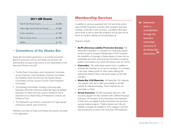## **2011 LRE Grants**

| West High School We the People \$1,000 |  |
|----------------------------------------|--|
|                                        |  |
|                                        |  |
|                                        |  |

## **• Committees of the Alaska Bar**

Alaska Bar Association governance is structured around the Board of Governors and its committees and sections, with administrative and day-to-day activity as the responsibility of the Executive Director and staff.

- The Bar Rules Committees, which include the Committee of Law Examiners, Area Disciplinary Hearing Committees, the Mediation Panel, the Attorney Fee Dispute Review Committees, and the Lawyers' Fund for Client Protection Committee.
- The Standing Committees, including, Continuing Legal Education, Ethics, Bar Historians, Alaska Bar Rag, Law Related Education, Pro Bono Services, Lawyers' Assistance, Fair & Impartial Courts, Alaska Rules of Professional Conduct, and Practice of Law.
- The Substantive Law Sections, comprised of 27 peer groups practicing in specific areas of the law.

Members and chairs of these committees and sections are listed in the appendices.

# **Membership Services**

In addition to services associated with CLE and other activity areas, the Bar Association provides other programs that assist members of the Bar in their practices. Complete information about these as well as other Bar programs and services can be found on the Bar's website at www.alaskabar.org.

Programs include:

- **• ALPS (Attorney Liability Protection Society).** The Alaska Bar Association is a member of a multi-state, lawyerowned insurance company. Membership in ALPS increases the availability of coverage to Alaska lawyers at rates that are predictable and which avoid dramatic fluctuations caused by policies and practices over which the lawyers have no control.
- **Casemaker.** This online legal research tool is available to all Alaska Bar members at no cost to members. It is included in bar dues. Alaska joined 25 other states offering this web-based research library and search engine to their Bar members
- **• Alaska Bar CLE Materials.** All Alaska Bar CLE materials one calendar year old or older are available on the Bar website for free downloading. These materials are not searchable or linked.
- **• Group Insurance.** The Bar Association sponsors a life insurance program for Bar members with LifeWise Assuance Company. All members of the Association and employees of their firms are eligible. The Bar Association also sponsors a group medical program. Medical, dental, vision, life and disability coverage are available to firms ranging in size from sole practitioners to those with more than 100 employees.

**66** Substantial<br>work is work is accomplished through the extensive committee structure of the Alaska Bar Association. <sup>99</sup>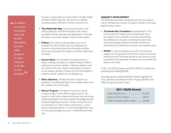**66** In addition<br>to services to services associated with CLE, the Bar **Association** provides other programs to assist members of the Bar in their practices.<sup>99</sup> The plan is underwritten by Premera Blue Cross Blue Shield of Alaska. The Bar Association also sponsors a disability insurance program offered by Unimerica Insurance Co.

- *• The Alaska Bar Rag.* This quarterly periodical is the official publication of the Bar Association, with content provided by the Bar, attorneys, and organizations in the legal and justice communities. Gregory Fisher served as editor.
- **E-News.** This weekly e-mail newsletter is sent to all members for whom the Bar has e-mail addresses, and contains announcements about Bar Association activities, court news, upcoming CLE programs, and other timely items of interest.
- **Section News.** This newsletter, containing notices of section meetings and topics, is e-mailed monthly to 90% of substantive law section members. Members without e-mail are mailed a hard copy. Section meeting dates are posted on the website calendar in F-News, and the full newsletter is posted on the Bar website at www.alaskabar.org.
- **• Ethics Opinions.** All Alaska Bar Ethics Opinions are published in the Alaska Bar Rag and are available online at the Bar's website and on Casemaker.
- **Mentor Program.** The Board of Governors started a mentor program which offers an opportunity for new lawyers to work with an experienced lawyer who will provide professional guidance and share practical knowledge and skills during the beginning of practice. The Bar worked with local bar associations to match mentors and mentees. 14 new lawyers requested mentors: 9 in the Anchorage/Palmer area; 3 in the Juneau/Douglas area; and 2 in Fairbanks/North Pole area.

#### **ADJUNCT INVOLVEMENT**

The Alaska Bar Association cooperates, partners and supports with its membership a number of programs related to the Alaska legal and justice system:

- **• The Alaska Bar Foundation** was established in 1972 for the purpose of fostering and maintaining the honor and integrity of the profession, improving and facilitating the administration of justice, promoting the study of law and continuing legal education, administering loans and scholarships, and maintaining a law library and research center.
- **IOLTA** is an opt-out Interest on Lawyers Trust Accounts program for the placement of client trust money into interestbearing accounts. The interest earned on each account is paid periodically to the Alaska Bar Foundation for its charitable and public service work.

In 2011, the IOLTA program earned \$17,850 from interest, and awarded grants totaling \$30,000.

Foundation grants included: \$16,500 to Alaska Legal Services Corp.; \$8,100 to the Alaska Pro Bono Program; \$5,400 to the Alaska Immigration Justice Project.

## **2011 IOLTA Grants**

| Alaska Immigration Justice Project  \$5,400 |  |
|---------------------------------------------|--|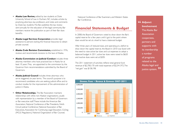- **• Alaska Law Review,** edited by law students at Duke University School of Law in Durham, NC, includes articles by practicing attorneys, law professors, and notes and comments by Duke law students. The Bar publishes the law review semi-annually for the education of the legal community. Bar members receive the publication as part of their Bar dues benefits.
- **• Alaska Legal Services Corporation** provides legal assistance to persons lacking the financial resources to obtain private counsel.
- **• Alaska Code Revision Commission,** established in 1976, reviews and recommends revisions to the laws of Alaska.
- **• Alaska Commission on Judicial Conduct** includes three attorney members who have practiced law in Alaska for at least 10 years. They are appointed to the commission by the Governor from recommendations submitted by the Board of Governors.
- **• Alaska Judicial Council** includes three attorneys who serve staggered, six-year terms. The council's purpose is to recommend candidates who are seeking judicial office and to conduct studies for the improvement of the administration of justice in Alaska.
- **• Other Relationships.** The Bar Association maintains relationships with other, non-Alaskan organizations, usually with representation by a member of the Board of Governors or Bar executive staff. These include the American Bar Association, National Conference of Bar Presidents, Ninth Circuit Judicial Conference, National Association of Bar Executives, Association for Continuing Legal Education, CLEreg (MCLE Regulators), National Organization of Bar Counsel,

National Conference of Bar Examiners, and Western States Bar Conference.

# **Financial Statements & Budget**

In 2008, the Board of Governors voted to draw down the Bar's capital reserve for a few years until it got to the point where dues would be set at a level to have a balanced budget.

After three years of reduced dues, and operating at a deficit to draw down the capital reserve, the Board in 2010 was faced with the need to raise active bar dues and cut expenses to adopt a balanced budget. In 2011, active bar dues were raised to \$620 and inactive dues were set at \$205.

2006 2007 2008 2009 2010 2011 Revenue 2011 statement of activities reflects total general fund  $\frac{150.73}{2}$  revenue of \$2,700,170 with total expenses of \$2,541,972. The "net gain" was \$158,198.



**" Adjunct "** justice system. **Involvement** The Alaska Bar **Association** cooperates, partners and supports with its membership a number of programs related to the Alaska legal and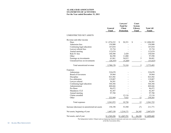#### **ALASKA BAR ASSOCIATION STATEMENTS OF ACTIVITIES For the Year ended December 31, 2011**

|                                                | General<br>Fund | Lawyers'<br><b>Fund for</b><br><b>Client</b><br><b>Protection</b> | Court<br><b>System</b><br>Library<br>Fund | <b>Total All</b><br><b>Funds</b> |
|------------------------------------------------|-----------------|-------------------------------------------------------------------|-------------------------------------------|----------------------------------|
| <b>UNRESTRICTED NET ASSETS</b>                 |                 |                                                                   |                                           |                                  |
| Revenue and other income                       |                 |                                                                   |                                           |                                  |
| Dues                                           | \$1,974,232     | \$<br>30,351                                                      | \$                                        | \$2,004,583                      |
| Admission fees                                 | 159,900         |                                                                   |                                           | 159,900                          |
| Continuing legal education                     | 147,034         |                                                                   | $\overline{\phantom{0}}$                  | 147,034                          |
| Lawyer referral fees                           | 35,734          |                                                                   |                                           | 35,734                           |
| Annual meeting                                 | 112,674         |                                                                   |                                           | 112,674                          |
| Rule 81 fees                                   | 148,500         | 2,420                                                             |                                           | 150,920                          |
| Other                                          | 86,590          | 11,000                                                            |                                           | 97,590                           |
| Earnings on investments                        | 61,861          | 34,815                                                            | 5                                         | 96,681                           |
| Unrealized loss on investments                 | (26,355)        | (5,268)                                                           |                                           | (31, 623)                        |
| Total unrestricted revenue                     | 2,700,170       | 73,318                                                            | 5                                         | 2,773,493                        |
| Expenses                                       |                 |                                                                   |                                           |                                  |
| Admissions                                     | 210,670         |                                                                   |                                           | 210,670                          |
| Board of Governors                             | 39,964          |                                                                   |                                           | 39,964                           |
| Discipline                                     | 823,502         |                                                                   |                                           | 823,502                          |
| Fee arbitration                                | 119,087         |                                                                   |                                           | 119,087                          |
| Lawyer referral                                | 56,501          |                                                                   |                                           | 56,501                           |
| Continuing legal education                     | 364,366         |                                                                   |                                           | 364,366                          |
| Administration                                 | 468,666         |                                                                   |                                           | 468,666                          |
| Pro Bono                                       | 96,472          |                                                                   |                                           | 96,472                           |
| Mandatory CLE                                  | 42,387          |                                                                   |                                           | 42,387                           |
| Annual meeting                                 | 97,788          |                                                                   | $\overline{\phantom{0}}$                  | 97,788                           |
| Claims awarded                                 |                 | 12,116                                                            |                                           | 12,116                           |
| Other                                          | 222,569         | 7,622                                                             | 12                                        | 230,203                          |
| Total expenses                                 | 2,541,972       | 19,738                                                            | 12                                        | 2,561,722                        |
| Increase (decrease) in unrestricted net assets | 158,198         | 53,580                                                            | (7)                                       | 211,771                          |
| Net assets, beginning of year                  | 1,607,158       | 1,214,171                                                         | 26,345                                    | 2,847,674                        |
| Net assets, end of year                        | \$1,765,356     | \$1,267,751                                                       | 26,338<br>\$                              | \$3,059,445                      |

The Independent Auditor's Report and accompanying financial statements and notes are available for inspection at the Bar Association office.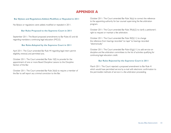# **APPENDIX A**

#### **Bar Bylaws and Regulations Added, Modified, or Repealed in 2011**

No Bylaws or regulations were added, modified or repealed in 2011.

#### **Bar Rules Proposed to the Supreme Court in 2011**

September 2011: The Board proposed amendments to Bar Rules 65 and 66 regarding mandatory continuing legal education (MCLE).

#### **Bar Rules Adopted by the Supreme Court in 2011**

April 2011: The Court amended Bar Rule 44 regarding legal intern permit eligibility, renewal, and permitted acts.

October 2011: The Court amended Bar Rule 10(f) to provide for the appointment of one or more Board Discipline Liaisons to the Discipline Section of the Bar.

October 2011: The Court amended Bar Rule 26(d) to require a member of the Bar to self report any criminal conviction to the Bar.

October 2011: The Court amended Bar Rule 36(a) to correct the reference to the appointing authority for bar counsel supervising the fee arbitration program.

October 2011: The Court amended Bar Rule 39(d)(2) to clarify a petitioner's right to request or maintain a fee arbitration.

October 2011: The Court amended Bar Rule 40(f)(11) to change the reference from hearings recorded "on tape" to hearings recorded "electronically."

October 2011: The Court amended Bar Rule 65(g)(11) to add service on discipline and fee arbitration committees to the list of activities qualifying for continuing legal education credit.

#### **Bar Rules Rejected by the Supreme Court in 2011**

March 2011: The Court rejected a proposed amendment to Bar Rule 41 which would have permitted service by e-mail with electronic confirmation to the permissible methods of service in a fee arbitration proceeding.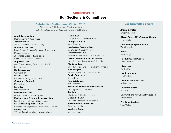# **APPENDIX B Bar Sections & Committees**

**Substantive Sections and Chairs, 2011**

At the end of 2011 there were 27 active sections. The Sections, Chairs and Co-Chairs at the end of 2011 follow:

**Administrative Law** Stuart Goering & Becky Kruse **Admiralty Law** Steve Shamburek & Mark Manning **Alaska Native Law** Bruce Anders, Brennan Cain, Walter Featherly & Melanie Osborne **Alternate Dispute Resolution** Glenn Cravez & Linda O'Bannon **Appellate Law** Alex Bryner, Gregory Fisher, Lloyd Miller & Beth Goldstein **Bankruptcy Law** Gary Spraker **Business Law** Matthew Block & John Kauffman **Corporate Counsel** Marcia Davis **Elder Law** Ilona Bessenyey & Una Gandbhir **Employment Law** Gregory Fisher & Danielle Ryman **Environmental/Natural Resources Law** Larry Hartig, Tina Sellers & Russ Winner **Estate Planning/Probate Law** Maribeth Conway, Stephen Greer & Tonja Woelber **Family Law** Whitney Bostick, Kara Nyquist & Alicia Porter

**Health Law** Carolyn Heyman-Layne & Barbra Nault **Immigration Law** Kathy Atkinson **Intellectual Property Law** Jon Dawson & Elizabeth Hodes **International Law** Nevhiz Calik Russell, Andy Haas & Julie Webb **Law & Community Health Forum** Liz Leduc, Mara Rabinowitz & Colleen Ray **Municipal Law**  John Hartle, Todd Sherwood & Dennis Wheeler **New Lawyers** Elizabeth Apostola & Loren Hildebrandt **Public Contracts** S. Lane Tucker **Real Estate Law** Joan Travostino **Social Security Disability Advocacy** Paul Eaglin & Paula Jacobson **Tax Law** Christy Lee & Charles Schuetze **Unbundled Law** Katherine Alteneder & Kara Nyquist **Torts/Personal Injury Law** Rebecca Hozubin **Workers' Comp** Joe Kalamarides

## **Bar Committee Chairs**

*Alaska Bar Rag* Gregory S. Fisher

**Alaska Rules of Professional Conduct** Jerome Juday

**Continuing Legal Education** Zach Manzella

**Ethics** Nelson Page

**Fair & Impartial Courts** Elaine Andrews

**Historians** Marilyn May

**Law Examiners** Tim Middleton

**Law Related Education** Barbara Jones

**Lawyers Assistance** No Chair

**Lawyers Fund for Client Protection** Robert Stone

**Pro Bono Services** Stacy Walker